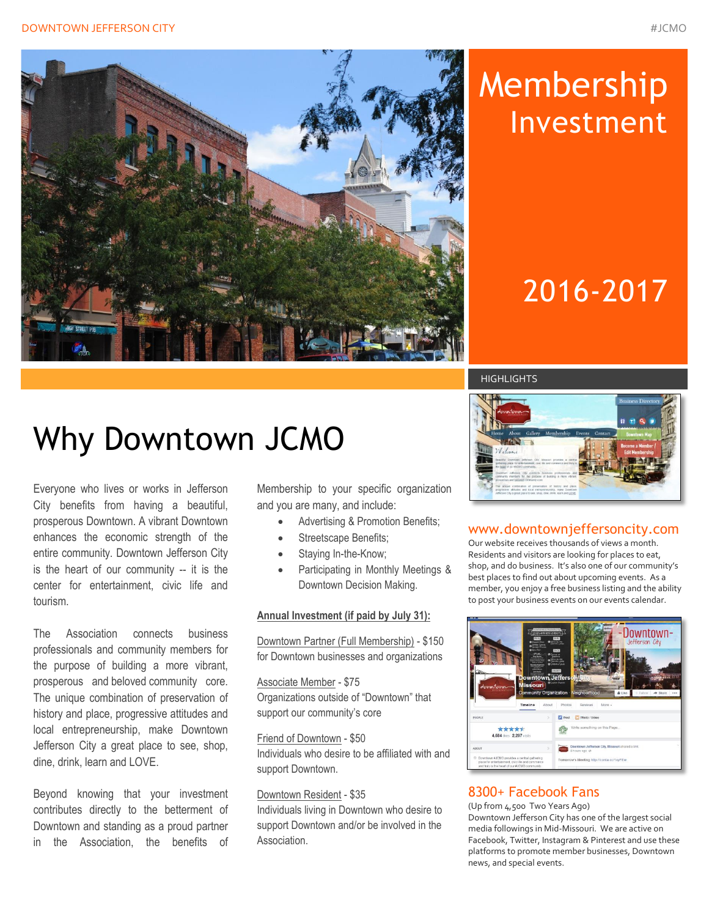



# Membership Investment

# 2016-2017

#### **HIGHLIGHTS**

# Why Downtown JCMO

Everyone who lives or works in Jefferson City benefits from having a beautiful, prosperous Downtown. A vibrant Downtown enhances the economic strength of the entire community. Downtown Jefferson City is the heart of our community -- it is the center for entertainment, civic life and tourism.

The Association connects business professionals and community members for the purpose of building a more vibrant, prosperous and beloved community core. The unique combination of preservation of history and place, progressive attitudes and local entrepreneurship, make Downtown Jefferson City a great place to see, shop, dine, drink, learn and LOVE.

Beyond knowing that your investment contributes directly to the betterment of Downtown and standing as a proud partner in the Association, the benefits of Membership to your specific organization and you are many, and include:

- Advertising & Promotion Benefits;
- Streetscape Benefits;
- Staying In-the-Know;
- Participating in Monthly Meetings & Downtown Decision Making.

#### **Annual Investment (if paid by July 31):**

Downtown Partner (Full Membership) - \$150 for Downtown businesses and organizations

Associate Member - \$75 Organizations outside of "Downtown" that support our community's core

Friend of Downtown - \$50 Individuals who desire to be affiliated with and support Downtown.

#### Downtown Resident - \$35

Individuals living in Downtown who desire to support Downtown and/or be involved in the Association.



#### www.downtownjeffersoncity.com

Our website receives thousands of views a month. Residents and visitors are looking for places to eat, shop, and do business. It's also one of our community's best places to find out about upcoming events. As a member, you enjoy a free business listing and the ability to post your business events on our events calendar.



### 8300+ Facebook Fans

(Up from 4,500 Two Years Ago) Downtown Jefferson City has one of the largest social media followings in Mid-Missouri. We are active on Facebook, Twitter, Instagram & Pinterest and use these platforms to promote member businesses, Downtown news, and special events.